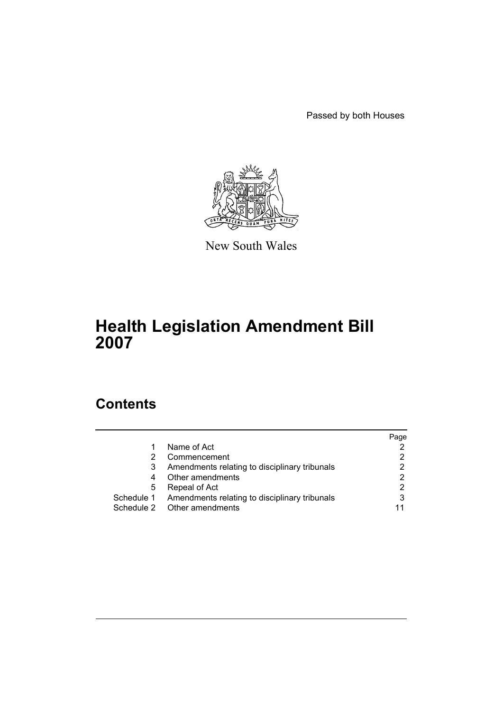Passed by both Houses



New South Wales

# **Health Legislation Amendment Bill 2007**

# **Contents**

|   |                                                          | Page |
|---|----------------------------------------------------------|------|
| 1 | Name of Act                                              |      |
|   | Commencement                                             |      |
| 3 | Amendments relating to disciplinary tribunals            |      |
| 4 | Other amendments                                         |      |
| 5 | Repeal of Act                                            |      |
|   | Schedule 1 Amendments relating to disciplinary tribunals | 3    |
|   | Schedule 2 Other amendments                              | 11   |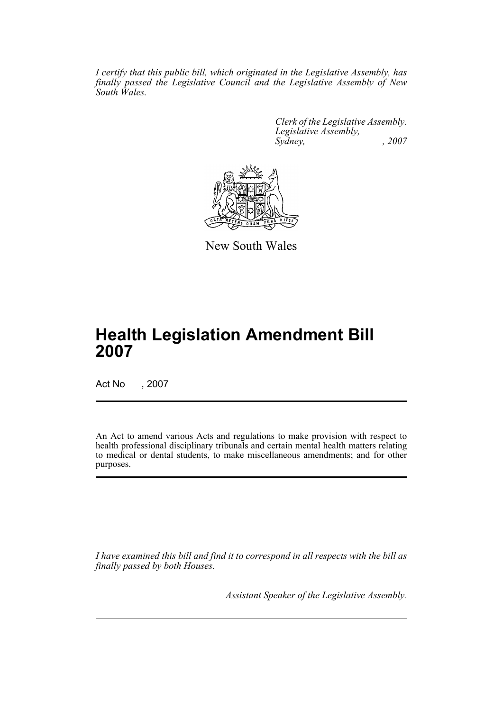*I certify that this public bill, which originated in the Legislative Assembly, has finally passed the Legislative Council and the Legislative Assembly of New South Wales.*

> *Clerk of the Legislative Assembly. Legislative Assembly, Sydney, , 2007*



New South Wales

# **Health Legislation Amendment Bill 2007**

Act No , 2007

An Act to amend various Acts and regulations to make provision with respect to health professional disciplinary tribunals and certain mental health matters relating to medical or dental students, to make miscellaneous amendments; and for other purposes.

*I have examined this bill and find it to correspond in all respects with the bill as finally passed by both Houses.*

*Assistant Speaker of the Legislative Assembly.*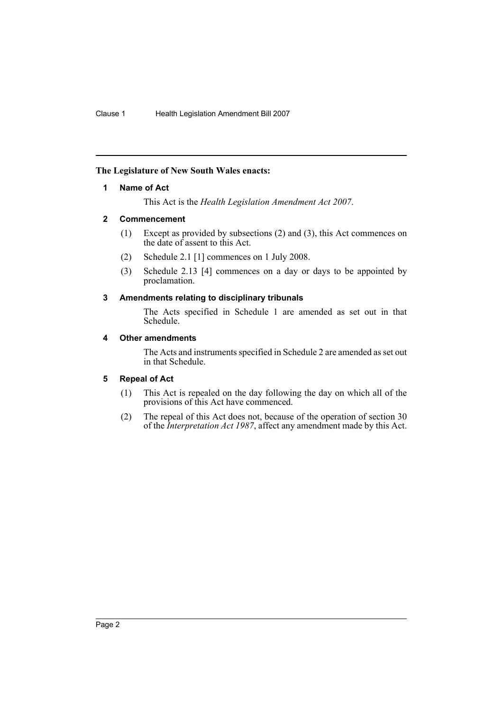# <span id="page-2-0"></span>**The Legislature of New South Wales enacts:**

## **1 Name of Act**

This Act is the *Health Legislation Amendment Act 2007*.

## <span id="page-2-1"></span>**2 Commencement**

- (1) Except as provided by subsections (2) and (3), this Act commences on the date of assent to this Act.
- (2) Schedule 2.1 [1] commences on 1 July 2008.
- (3) Schedule 2.13 [4] commences on a day or days to be appointed by proclamation.

## <span id="page-2-2"></span>**3 Amendments relating to disciplinary tribunals**

The Acts specified in Schedule 1 are amended as set out in that Schedule.

# <span id="page-2-3"></span>**4 Other amendments**

The Acts and instruments specified in Schedule 2 are amended as set out in that Schedule.

# <span id="page-2-4"></span>**5 Repeal of Act**

- (1) This Act is repealed on the day following the day on which all of the provisions of this Act have commenced.
- (2) The repeal of this Act does not, because of the operation of section 30 of the *Interpretation Act 1987*, affect any amendment made by this Act.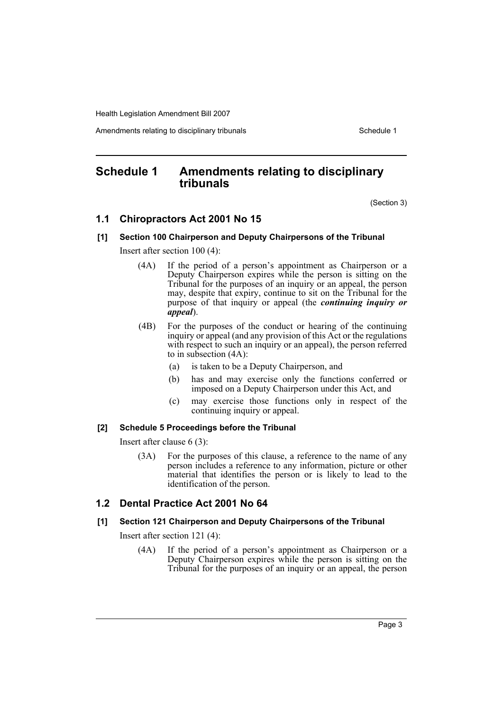Amendments relating to disciplinary tribunals **Schedule 1** Schedule 1

# <span id="page-3-0"></span>**Schedule 1 Amendments relating to disciplinary tribunals**

(Section 3)

# **1.1 Chiropractors Act 2001 No 15**

#### **[1] Section 100 Chairperson and Deputy Chairpersons of the Tribunal**

Insert after section 100 (4):

- (4A) If the period of a person's appointment as Chairperson or a Deputy Chairperson expires while the person is sitting on the Tribunal for the purposes of an inquiry or an appeal, the person may, despite that expiry, continue to sit on the Tribunal for the purpose of that inquiry or appeal (the *continuing inquiry or appeal*).
- (4B) For the purposes of the conduct or hearing of the continuing inquiry or appeal (and any provision of this Act or the regulations with respect to such an inquiry or an appeal), the person referred to in subsection (4A):
	- (a) is taken to be a Deputy Chairperson, and
	- (b) has and may exercise only the functions conferred or imposed on a Deputy Chairperson under this Act, and
	- (c) may exercise those functions only in respect of the continuing inquiry or appeal.

#### **[2] Schedule 5 Proceedings before the Tribunal**

Insert after clause 6 (3):

(3A) For the purposes of this clause, a reference to the name of any person includes a reference to any information, picture or other material that identifies the person or is likely to lead to the identification of the person.

# **1.2 Dental Practice Act 2001 No 64**

# **[1] Section 121 Chairperson and Deputy Chairpersons of the Tribunal**

Insert after section 121 (4):

(4A) If the period of a person's appointment as Chairperson or a Deputy Chairperson expires while the person is sitting on the Tribunal for the purposes of an inquiry or an appeal, the person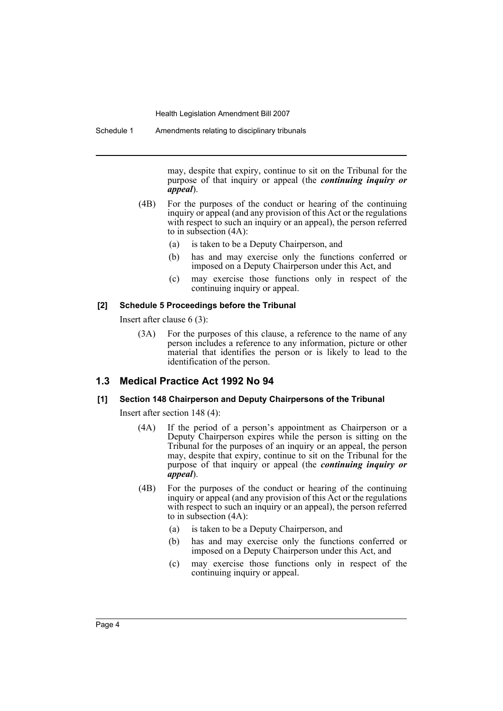may, despite that expiry, continue to sit on the Tribunal for the purpose of that inquiry or appeal (the *continuing inquiry or appeal*).

- (4B) For the purposes of the conduct or hearing of the continuing inquiry or appeal (and any provision of this Act or the regulations with respect to such an inquiry or an appeal), the person referred to in subsection (4A):
	- (a) is taken to be a Deputy Chairperson, and
	- (b) has and may exercise only the functions conferred or imposed on a Deputy Chairperson under this Act, and
	- (c) may exercise those functions only in respect of the continuing inquiry or appeal.

#### **[2] Schedule 5 Proceedings before the Tribunal**

Insert after clause 6 (3):

(3A) For the purposes of this clause, a reference to the name of any person includes a reference to any information, picture or other material that identifies the person or is likely to lead to the identification of the person.

# **1.3 Medical Practice Act 1992 No 94**

#### **[1] Section 148 Chairperson and Deputy Chairpersons of the Tribunal**

Insert after section 148 (4):

- (4A) If the period of a person's appointment as Chairperson or a Deputy Chairperson expires while the person is sitting on the Tribunal for the purposes of an inquiry or an appeal, the person may, despite that expiry, continue to sit on the Tribunal for the purpose of that inquiry or appeal (the *continuing inquiry or appeal*).
- (4B) For the purposes of the conduct or hearing of the continuing inquiry or appeal (and any provision of this Act or the regulations with respect to such an inquiry or an appeal), the person referred to in subsection (4A):
	- (a) is taken to be a Deputy Chairperson, and
	- (b) has and may exercise only the functions conferred or imposed on a Deputy Chairperson under this Act, and
	- (c) may exercise those functions only in respect of the continuing inquiry or appeal.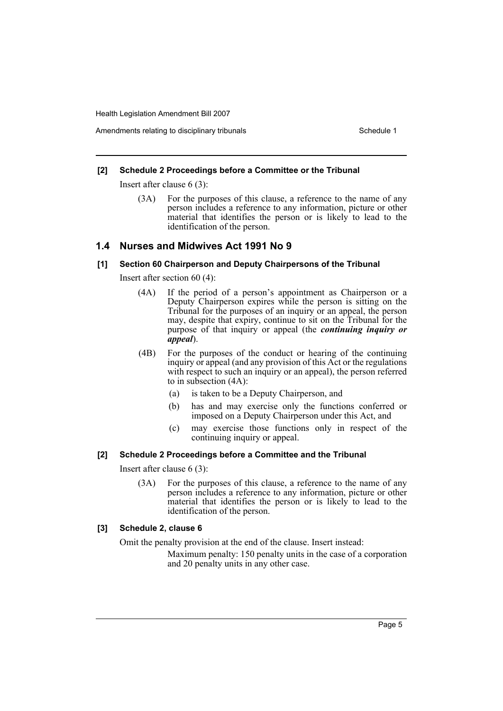## Amendments relating to disciplinary tribunals **Schedule 1** Schedule 1

#### **[2] Schedule 2 Proceedings before a Committee or the Tribunal**

Insert after clause 6 (3):

(3A) For the purposes of this clause, a reference to the name of any person includes a reference to any information, picture or other material that identifies the person or is likely to lead to the identification of the person.

## **1.4 Nurses and Midwives Act 1991 No 9**

# **[1] Section 60 Chairperson and Deputy Chairpersons of the Tribunal**

Insert after section 60 (4):

- (4A) If the period of a person's appointment as Chairperson or a Deputy Chairperson expires while the person is sitting on the Tribunal for the purposes of an inquiry or an appeal, the person may, despite that expiry, continue to sit on the Tribunal for the purpose of that inquiry or appeal (the *continuing inquiry or appeal*).
- (4B) For the purposes of the conduct or hearing of the continuing inquiry or appeal (and any provision of this Act or the regulations with respect to such an inquiry or an appeal), the person referred to in subsection (4A):
	- (a) is taken to be a Deputy Chairperson, and
	- (b) has and may exercise only the functions conferred or imposed on a Deputy Chairperson under this Act, and
	- (c) may exercise those functions only in respect of the continuing inquiry or appeal.

#### **[2] Schedule 2 Proceedings before a Committee and the Tribunal**

Insert after clause 6 (3):

(3A) For the purposes of this clause, a reference to the name of any person includes a reference to any information, picture or other material that identifies the person or is likely to lead to the identification of the person.

#### **[3] Schedule 2, clause 6**

Omit the penalty provision at the end of the clause. Insert instead:

Maximum penalty: 150 penalty units in the case of a corporation and 20 penalty units in any other case.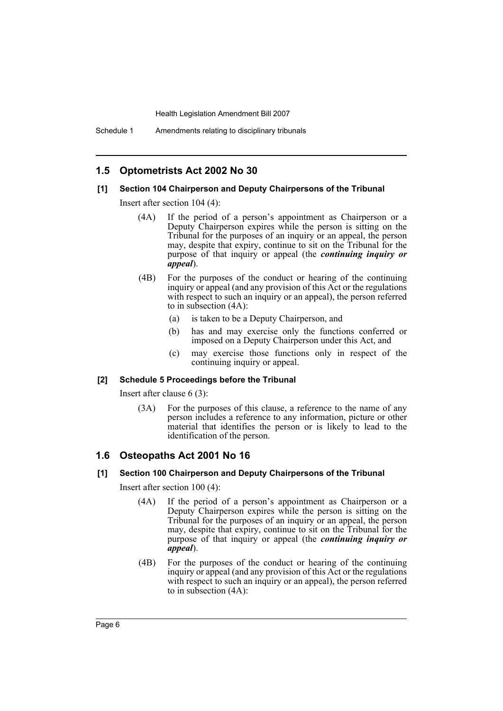# **1.5 Optometrists Act 2002 No 30**

#### **[1] Section 104 Chairperson and Deputy Chairpersons of the Tribunal**

Insert after section 104 (4):

- (4A) If the period of a person's appointment as Chairperson or a Deputy Chairperson expires while the person is sitting on the Tribunal for the purposes of an inquiry or an appeal, the person may, despite that expiry, continue to sit on the Tribunal for the purpose of that inquiry or appeal (the *continuing inquiry or appeal*).
- (4B) For the purposes of the conduct or hearing of the continuing inquiry or appeal (and any provision of this Act or the regulations with respect to such an inquiry or an appeal), the person referred to in subsection (4A):
	- (a) is taken to be a Deputy Chairperson, and
	- (b) has and may exercise only the functions conferred or imposed on a Deputy Chairperson under this Act, and
	- (c) may exercise those functions only in respect of the continuing inquiry or appeal.

#### **[2] Schedule 5 Proceedings before the Tribunal**

Insert after clause 6 (3):

(3A) For the purposes of this clause, a reference to the name of any person includes a reference to any information, picture or other material that identifies the person or is likely to lead to the identification of the person.

# **1.6 Osteopaths Act 2001 No 16**

#### **[1] Section 100 Chairperson and Deputy Chairpersons of the Tribunal**

Insert after section 100 (4):

- (4A) If the period of a person's appointment as Chairperson or a Deputy Chairperson expires while the person is sitting on the Tribunal for the purposes of an inquiry or an appeal, the person may, despite that expiry, continue to sit on the Tribunal for the purpose of that inquiry or appeal (the *continuing inquiry or appeal*).
- (4B) For the purposes of the conduct or hearing of the continuing inquiry or appeal (and any provision of this Act or the regulations with respect to such an inquiry or an appeal), the person referred to in subsection (4A):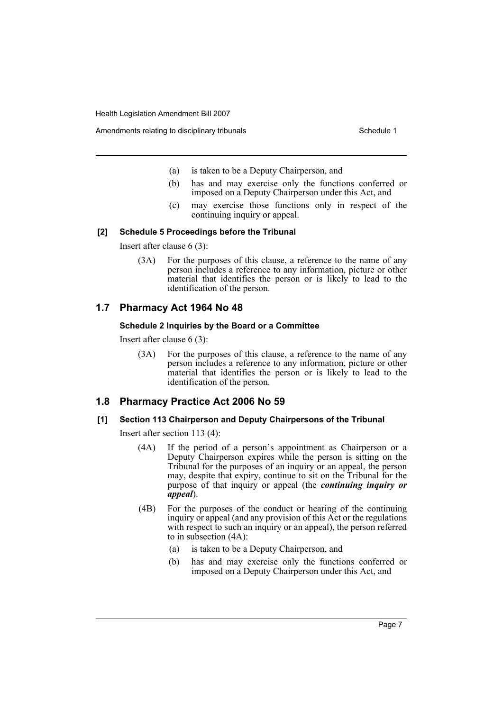Amendments relating to disciplinary tribunals **Schedule 1** Schedule 1

- (a) is taken to be a Deputy Chairperson, and
- (b) has and may exercise only the functions conferred or imposed on a Deputy Chairperson under this Act, and
- (c) may exercise those functions only in respect of the continuing inquiry or appeal.

## **[2] Schedule 5 Proceedings before the Tribunal**

Insert after clause 6 (3):

(3A) For the purposes of this clause, a reference to the name of any person includes a reference to any information, picture or other material that identifies the person or is likely to lead to the identification of the person.

# **1.7 Pharmacy Act 1964 No 48**

## **Schedule 2 Inquiries by the Board or a Committee**

Insert after clause 6 (3):

(3A) For the purposes of this clause, a reference to the name of any person includes a reference to any information, picture or other material that identifies the person or is likely to lead to the identification of the person.

# **1.8 Pharmacy Practice Act 2006 No 59**

# **[1] Section 113 Chairperson and Deputy Chairpersons of the Tribunal**

Insert after section 113 (4):

- (4A) If the period of a person's appointment as Chairperson or a Deputy Chairperson expires while the person is sitting on the Tribunal for the purposes of an inquiry or an appeal, the person may, despite that expiry, continue to sit on the Tribunal for the purpose of that inquiry or appeal (the *continuing inquiry or appeal*).
- (4B) For the purposes of the conduct or hearing of the continuing inquiry or appeal (and any provision of this Act or the regulations with respect to such an inquiry or an appeal), the person referred to in subsection (4A):
	- (a) is taken to be a Deputy Chairperson, and
	- (b) has and may exercise only the functions conferred or imposed on a Deputy Chairperson under this Act, and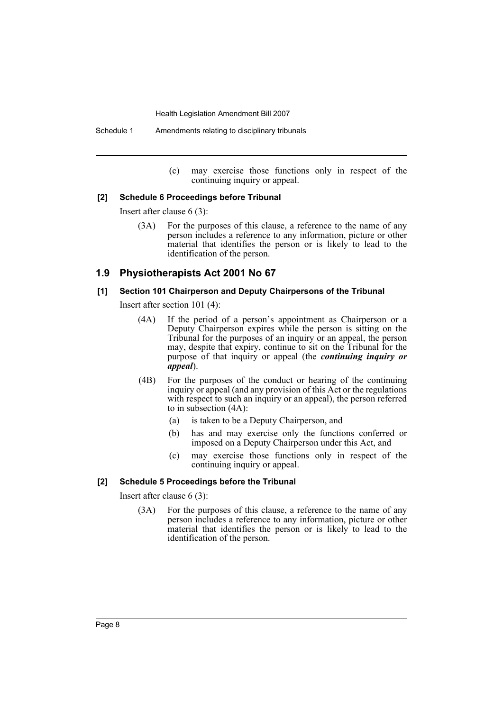Schedule 1 Amendments relating to disciplinary tribunals

(c) may exercise those functions only in respect of the continuing inquiry or appeal.

#### **[2] Schedule 6 Proceedings before Tribunal**

Insert after clause 6 (3):

(3A) For the purposes of this clause, a reference to the name of any person includes a reference to any information, picture or other material that identifies the person or is likely to lead to the identification of the person.

# **1.9 Physiotherapists Act 2001 No 67**

#### **[1] Section 101 Chairperson and Deputy Chairpersons of the Tribunal**

Insert after section 101 (4):

- (4A) If the period of a person's appointment as Chairperson or a Deputy Chairperson expires while the person is sitting on the Tribunal for the purposes of an inquiry or an appeal, the person may, despite that expiry, continue to sit on the Tribunal for the purpose of that inquiry or appeal (the *continuing inquiry or appeal*).
- (4B) For the purposes of the conduct or hearing of the continuing inquiry or appeal (and any provision of this Act or the regulations with respect to such an inquiry or an appeal), the person referred to in subsection (4A):
	- (a) is taken to be a Deputy Chairperson, and
	- (b) has and may exercise only the functions conferred or imposed on a Deputy Chairperson under this Act, and
	- (c) may exercise those functions only in respect of the continuing inquiry or appeal.

#### **[2] Schedule 5 Proceedings before the Tribunal**

Insert after clause 6 (3):

(3A) For the purposes of this clause, a reference to the name of any person includes a reference to any information, picture or other material that identifies the person or is likely to lead to the identification of the person.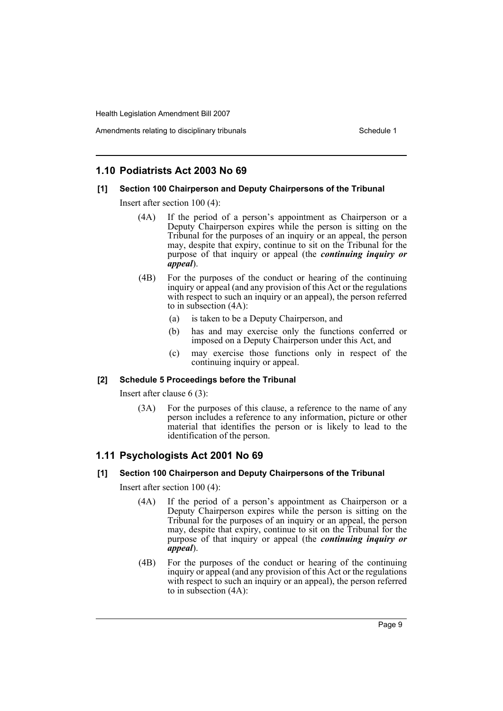# **1.10 Podiatrists Act 2003 No 69**

## **[1] Section 100 Chairperson and Deputy Chairpersons of the Tribunal**

Insert after section 100 (4):

- (4A) If the period of a person's appointment as Chairperson or a Deputy Chairperson expires while the person is sitting on the Tribunal for the purposes of an inquiry or an appeal, the person may, despite that expiry, continue to sit on the Tribunal for the purpose of that inquiry or appeal (the *continuing inquiry or appeal*).
- (4B) For the purposes of the conduct or hearing of the continuing inquiry or appeal (and any provision of this Act or the regulations with respect to such an inquiry or an appeal), the person referred to in subsection (4A):
	- (a) is taken to be a Deputy Chairperson, and
	- (b) has and may exercise only the functions conferred or imposed on a Deputy Chairperson under this Act, and
	- (c) may exercise those functions only in respect of the continuing inquiry or appeal.

# **[2] Schedule 5 Proceedings before the Tribunal**

Insert after clause 6 (3):

(3A) For the purposes of this clause, a reference to the name of any person includes a reference to any information, picture or other material that identifies the person or is likely to lead to the identification of the person.

# **1.11 Psychologists Act 2001 No 69**

# **[1] Section 100 Chairperson and Deputy Chairpersons of the Tribunal**

Insert after section 100 (4):

- (4A) If the period of a person's appointment as Chairperson or a Deputy Chairperson expires while the person is sitting on the Tribunal for the purposes of an inquiry or an appeal, the person may, despite that expiry, continue to sit on the Tribunal for the purpose of that inquiry or appeal (the *continuing inquiry or appeal*).
- (4B) For the purposes of the conduct or hearing of the continuing inquiry or appeal (and any provision of this Act or the regulations with respect to such an inquiry or an appeal), the person referred to in subsection (4A):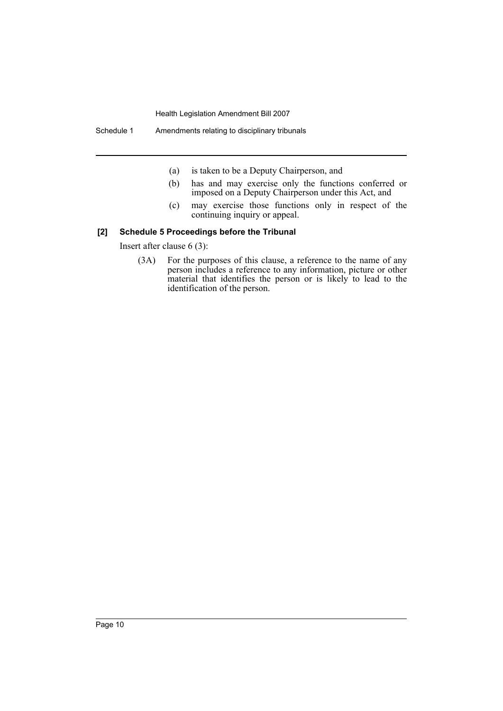- (a) is taken to be a Deputy Chairperson, and
- (b) has and may exercise only the functions conferred or imposed on a Deputy Chairperson under this Act, and
- (c) may exercise those functions only in respect of the continuing inquiry or appeal.

## **[2] Schedule 5 Proceedings before the Tribunal**

Insert after clause 6 (3):

(3A) For the purposes of this clause, a reference to the name of any person includes a reference to any information, picture or other material that identifies the person or is likely to lead to the identification of the person.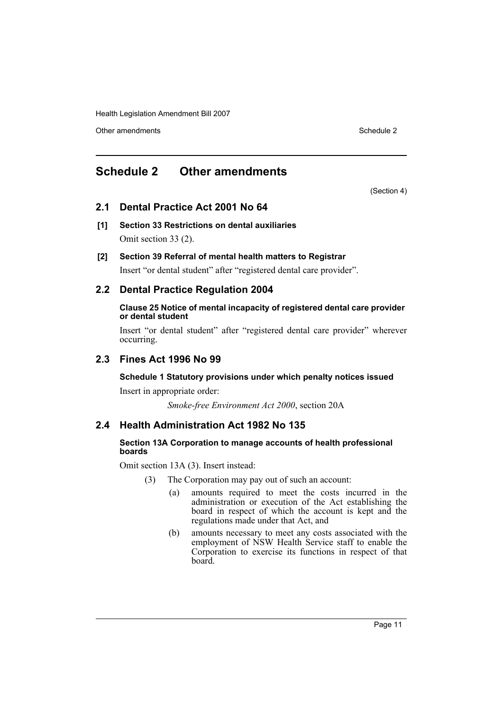Other amendments **Schedule 2** and the 2 state 3 and 2 state 3 and 3 state 3 and 3 state 3 and 3 state 3 and 3 state 3 and 3 state 3 and 3 state 3 and 3 state 3 and 3 state 3 and 3 state 3 and 3 state 3 and 3 state 3 and 3

# <span id="page-11-0"></span>**Schedule 2 Other amendments**

(Section 4)

# **2.1 Dental Practice Act 2001 No 64**

- **[1] Section 33 Restrictions on dental auxiliaries** Omit section 33 (2).
- **[2] Section 39 Referral of mental health matters to Registrar**

Insert "or dental student" after "registered dental care provider".

# **2.2 Dental Practice Regulation 2004**

## **Clause 25 Notice of mental incapacity of registered dental care provider or dental student**

Insert "or dental student" after "registered dental care provider" wherever occurring.

# **2.3 Fines Act 1996 No 99**

# **Schedule 1 Statutory provisions under which penalty notices issued**

Insert in appropriate order:

*Smoke-free Environment Act 2000*, section 20A

# **2.4 Health Administration Act 1982 No 135**

# **Section 13A Corporation to manage accounts of health professional boards**

Omit section 13A (3). Insert instead:

- (3) The Corporation may pay out of such an account:
	- (a) amounts required to meet the costs incurred in the administration or execution of the Act establishing the board in respect of which the account is kept and the regulations made under that Act, and
	- (b) amounts necessary to meet any costs associated with the employment of NSW Health Service staff to enable the Corporation to exercise its functions in respect of that board.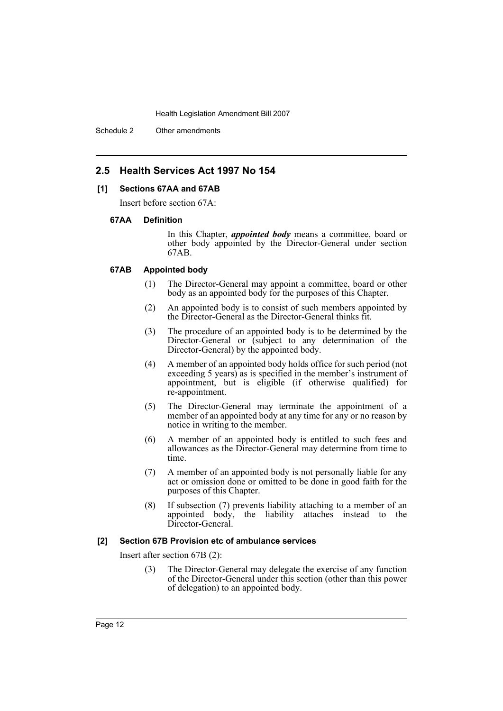Schedule 2 Other amendments

# **2.5 Health Services Act 1997 No 154**

## **[1] Sections 67AA and 67AB**

Insert before section 67A:

#### **67AA Definition**

In this Chapter, *appointed body* means a committee, board or other body appointed by the Director-General under section 67AB.

#### **67AB Appointed body**

- (1) The Director-General may appoint a committee, board or other body as an appointed body for the purposes of this Chapter.
- (2) An appointed body is to consist of such members appointed by the Director-General as the Director-General thinks fit.
- (3) The procedure of an appointed body is to be determined by the Director-General or (subject to any determination of the Director-General) by the appointed body.
- (4) A member of an appointed body holds office for such period (not exceeding 5 years) as is specified in the member's instrument of appointment, but is eligible (if otherwise qualified) for re-appointment.
- (5) The Director-General may terminate the appointment of a member of an appointed body at any time for any or no reason by notice in writing to the member.
- (6) A member of an appointed body is entitled to such fees and allowances as the Director-General may determine from time to time.
- (7) A member of an appointed body is not personally liable for any act or omission done or omitted to be done in good faith for the purposes of this Chapter.
- (8) If subsection (7) prevents liability attaching to a member of an appointed body, the liability attaches instead to the Director-General.

# **[2] Section 67B Provision etc of ambulance services**

Insert after section 67B (2):

(3) The Director-General may delegate the exercise of any function of the Director-General under this section (other than this power of delegation) to an appointed body.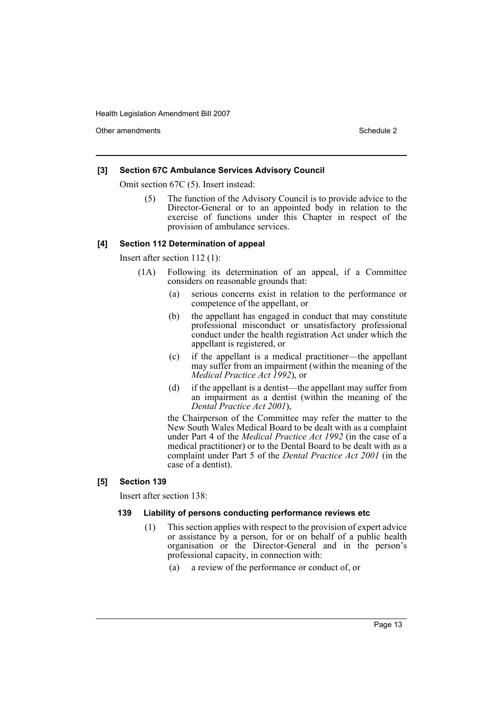Other amendments **Schedule 2** and 3 and 3 and 3 and 3 and 3 and 3 and 3 and 3 and 3 and 3 and 3 and 3 and 3 and 3 and 3 and 3 and 3 and 3 and 3 and 3 and 3 and 3 and 3 and 3 and 3 and 3 and 3 and 3 and 3 and 3 and 3 and 3

## **[3] Section 67C Ambulance Services Advisory Council**

Omit section 67C (5). Insert instead:

The function of the Advisory Council is to provide advice to the Director-General or to an appointed body in relation to the exercise of functions under this Chapter in respect of the provision of ambulance services.

#### **[4] Section 112 Determination of appeal**

Insert after section 112 (1):

- (1A) Following its determination of an appeal, if a Committee considers on reasonable grounds that:
	- (a) serious concerns exist in relation to the performance or competence of the appellant, or
	- (b) the appellant has engaged in conduct that may constitute professional misconduct or unsatisfactory professional conduct under the health registration Act under which the appellant is registered, or
	- (c) if the appellant is a medical practitioner—the appellant may suffer from an impairment (within the meaning of the *Medical Practice Act 1992*), or
	- (d) if the appellant is a dentist—the appellant may suffer from an impairment as a dentist (within the meaning of the *Dental Practice Act 2001*),

the Chairperson of the Committee may refer the matter to the New South Wales Medical Board to be dealt with as a complaint under Part 4 of the *Medical Practice Act 1992* (in the case of a medical practitioner) or to the Dental Board to be dealt with as a complaint under Part 5 of the *Dental Practice Act 2001* (in the case of a dentist).

# **[5] Section 139**

Insert after section 138:

## **139 Liability of persons conducting performance reviews etc**

- (1) This section applies with respect to the provision of expert advice or assistance by a person, for or on behalf of a public health organisation or the Director-General and in the person's professional capacity, in connection with:
	- (a) a review of the performance or conduct of, or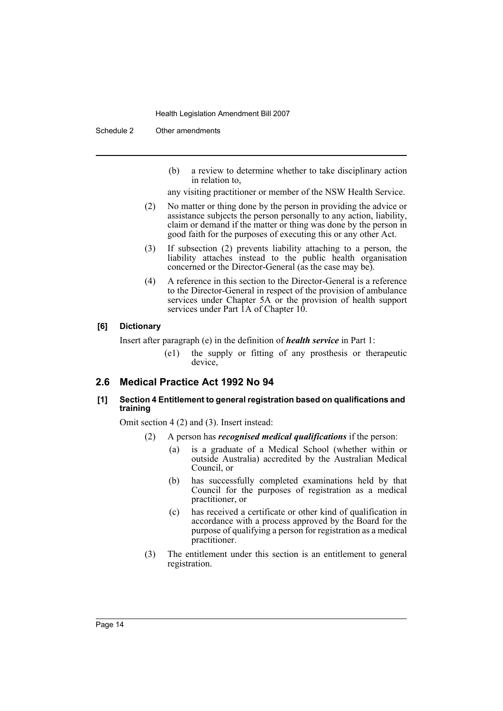Schedule 2 Other amendments

- (b) a review to determine whether to take disciplinary action in relation to,
- any visiting practitioner or member of the NSW Health Service.
- (2) No matter or thing done by the person in providing the advice or assistance subjects the person personally to any action, liability, claim or demand if the matter or thing was done by the person in good faith for the purposes of executing this or any other Act.
- (3) If subsection (2) prevents liability attaching to a person, the liability attaches instead to the public health organisation concerned or the Director-General (as the case may be).
- (4) A reference in this section to the Director-General is a reference to the Director-General in respect of the provision of ambulance services under Chapter 5A or the provision of health support services under Part 1A of Chapter 10.

## **[6] Dictionary**

Insert after paragraph (e) in the definition of *health service* in Part 1:

(e1) the supply or fitting of any prosthesis or therapeutic device,

# **2.6 Medical Practice Act 1992 No 94**

## **[1] Section 4 Entitlement to general registration based on qualifications and training**

Omit section 4 (2) and (3). Insert instead:

- (2) A person has *recognised medical qualifications* if the person:
	- (a) is a graduate of a Medical School (whether within or outside Australia) accredited by the Australian Medical Council, or
	- (b) has successfully completed examinations held by that Council for the purposes of registration as a medical practitioner, or
	- (c) has received a certificate or other kind of qualification in accordance with a process approved by the Board for the purpose of qualifying a person for registration as a medical practitioner.
- (3) The entitlement under this section is an entitlement to general registration.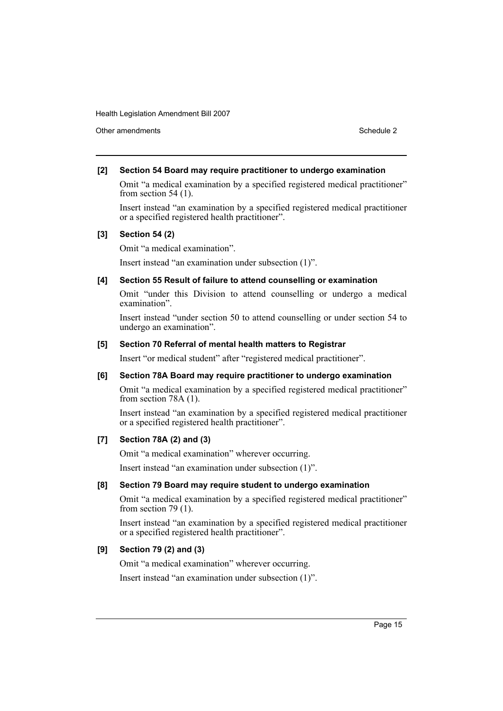Other amendments **Schedule 2** and the 2 state 3 and 2 state 3 and 3 state 3 and 3 state 3 and 3 state 3 and 3 state 3 and 3 state 3 and 3 state 3 and 3 state 3 and 3 state 3 and 3 state 3 and 3 state 3 and 3 state 3 and 3

## **[2] Section 54 Board may require practitioner to undergo examination**

Omit "a medical examination by a specified registered medical practitioner" from section 54 (1).

Insert instead "an examination by a specified registered medical practitioner or a specified registered health practitioner".

## **[3] Section 54 (2)**

Omit "a medical examination".

Insert instead "an examination under subsection (1)".

## **[4] Section 55 Result of failure to attend counselling or examination**

Omit "under this Division to attend counselling or undergo a medical examination".

Insert instead "under section 50 to attend counselling or under section 54 to undergo an examination".

## **[5] Section 70 Referral of mental health matters to Registrar**

Insert "or medical student" after "registered medical practitioner".

# **[6] Section 78A Board may require practitioner to undergo examination**

Omit "a medical examination by a specified registered medical practitioner" from section 78A (1).

Insert instead "an examination by a specified registered medical practitioner or a specified registered health practitioner".

# **[7] Section 78A (2) and (3)**

Omit "a medical examination" wherever occurring.

Insert instead "an examination under subsection (1)".

#### **[8] Section 79 Board may require student to undergo examination**

Omit "a medical examination by a specified registered medical practitioner" from section 79 (1).

Insert instead "an examination by a specified registered medical practitioner or a specified registered health practitioner".

# **[9] Section 79 (2) and (3)**

Omit "a medical examination" wherever occurring.

Insert instead "an examination under subsection (1)".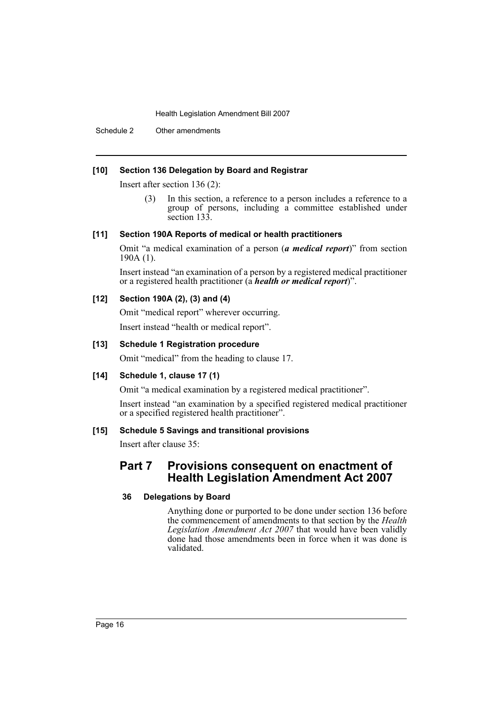Schedule 2 Other amendments

## **[10] Section 136 Delegation by Board and Registrar**

Insert after section 136 (2):

(3) In this section, a reference to a person includes a reference to a group of persons, including a committee established under section 133.

## **[11] Section 190A Reports of medical or health practitioners**

Omit "a medical examination of a person (*a medical report*)" from section 190A (1).

Insert instead "an examination of a person by a registered medical practitioner or a registered health practitioner (a *health or medical report*)".

# **[12] Section 190A (2), (3) and (4)**

Omit "medical report" wherever occurring. Insert instead "health or medical report".

## **[13] Schedule 1 Registration procedure**

Omit "medical" from the heading to clause 17.

## **[14] Schedule 1, clause 17 (1)**

Omit "a medical examination by a registered medical practitioner".

Insert instead "an examination by a specified registered medical practitioner or a specified registered health practitioner".

# **[15] Schedule 5 Savings and transitional provisions**

Insert after clause 35:

# **Part 7 Provisions consequent on enactment of Health Legislation Amendment Act 2007**

#### **36 Delegations by Board**

Anything done or purported to be done under section 136 before the commencement of amendments to that section by the *Health Legislation Amendment Act 2007* that would have been validly done had those amendments been in force when it was done is validated.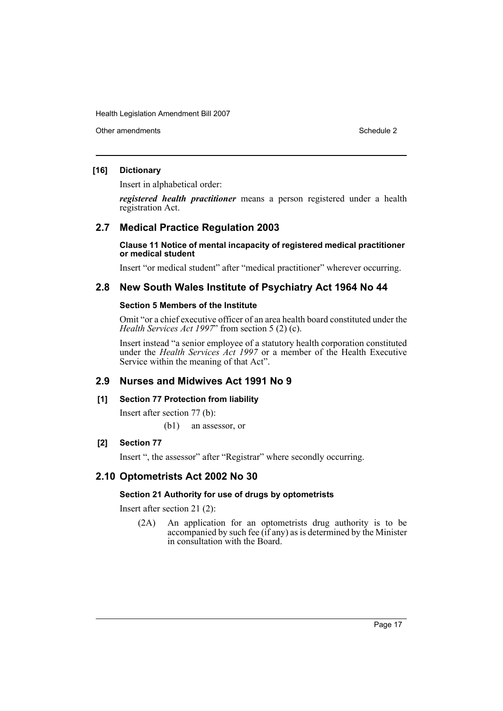Other amendments **Schedule 2** and the 2 state 3 and 2 state 3 and 3 state 3 and 3 state 3 and 3 state 3 and 3 state 3 and 3 state 3 and 3 state 3 and 3 state 3 and 3 state 3 and 3 state 3 and 3 state 3 and 3 state 3 and 3

# **[16] Dictionary**

Insert in alphabetical order:

*registered health practitioner* means a person registered under a health registration Act.

# **2.7 Medical Practice Regulation 2003**

**Clause 11 Notice of mental incapacity of registered medical practitioner or medical student**

Insert "or medical student" after "medical practitioner" wherever occurring.

# **2.8 New South Wales Institute of Psychiatry Act 1964 No 44**

#### **Section 5 Members of the Institute**

Omit "or a chief executive officer of an area health board constituted under the *Health Services Act 1997*" from section 5 (2) (c).

Insert instead "a senior employee of a statutory health corporation constituted under the *Health Services Act 1997* or a member of the Health Executive Service within the meaning of that Act".

# **2.9 Nurses and Midwives Act 1991 No 9**

#### **[1] Section 77 Protection from liability**

Insert after section 77 (b):

(b1) an assessor, or

# **[2] Section 77**

Insert ", the assessor" after "Registrar" where secondly occurring.

# **2.10 Optometrists Act 2002 No 30**

#### **Section 21 Authority for use of drugs by optometrists**

Insert after section 21 (2):

(2A) An application for an optometrists drug authority is to be accompanied by such fee (if any) as is determined by the Minister in consultation with the Board.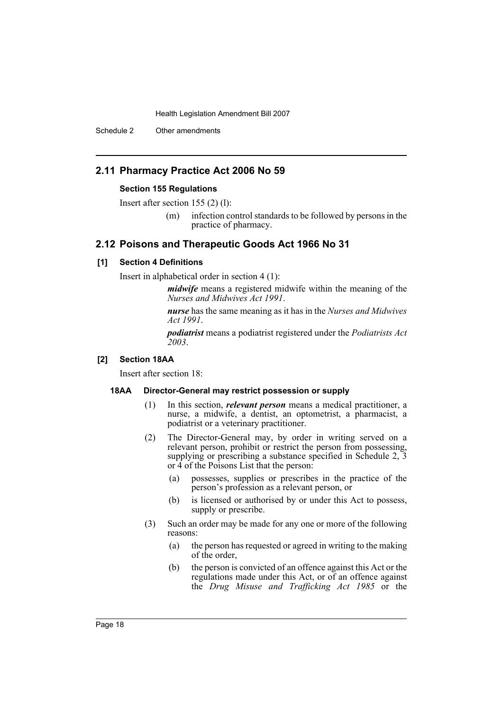Schedule 2 Other amendments

# **2.11 Pharmacy Practice Act 2006 No 59**

#### **Section 155 Regulations**

Insert after section 155 (2) (l):

(m) infection control standards to be followed by persons in the practice of pharmacy.

# **2.12 Poisons and Therapeutic Goods Act 1966 No 31**

#### **[1] Section 4 Definitions**

Insert in alphabetical order in section 4 (1):

*midwife* means a registered midwife within the meaning of the *Nurses and Midwives Act 1991*.

*nurse* has the same meaning as it has in the *Nurses and Midwives Act 1991*.

*podiatrist* means a podiatrist registered under the *Podiatrists Act 2003*.

#### **[2] Section 18AA**

Insert after section 18:

#### **18AA Director-General may restrict possession or supply**

- (1) In this section, *relevant person* means a medical practitioner, a nurse, a midwife, a dentist, an optometrist, a pharmacist, a podiatrist or a veterinary practitioner.
- (2) The Director-General may, by order in writing served on a relevant person, prohibit or restrict the person from possessing, supplying or prescribing a substance specified in Schedule 2, 3 or 4 of the Poisons List that the person:
	- (a) possesses, supplies or prescribes in the practice of the person's profession as a relevant person, or
	- (b) is licensed or authorised by or under this Act to possess, supply or prescribe.
- (3) Such an order may be made for any one or more of the following reasons:
	- (a) the person has requested or agreed in writing to the making of the order,
	- (b) the person is convicted of an offence against this Act or the regulations made under this Act, or of an offence against the *Drug Misuse and Trafficking Act 1985* or the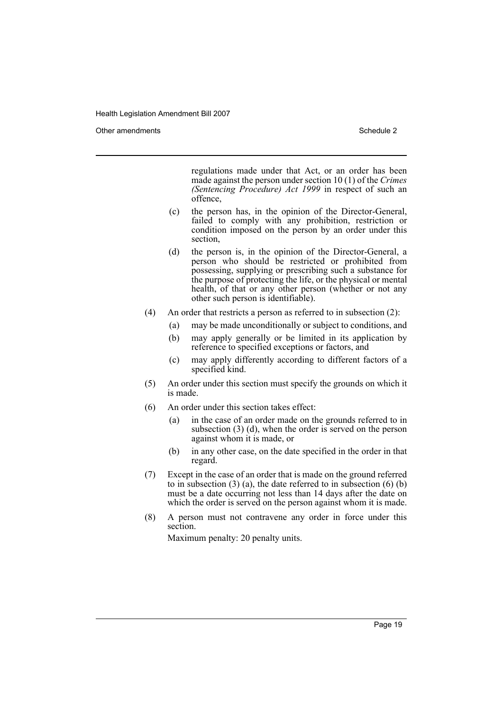Other amendments **Schedule 2** and the 2 state 3 and 2 state 3 and 3 state 3 and 3 state 3 and 3 state 3 and 3 state 3 and 3 state 3 and 3 state 3 and 3 state 3 and 3 state 3 and 3 state 3 and 3 state 3 and 3 state 3 and 3

regulations made under that Act, or an order has been made against the person under section 10 (1) of the *Crimes (Sentencing Procedure) Act 1999* in respect of such an offence,

- (c) the person has, in the opinion of the Director-General, failed to comply with any prohibition, restriction or condition imposed on the person by an order under this section,
- (d) the person is, in the opinion of the Director-General, a person who should be restricted or prohibited from possessing, supplying or prescribing such a substance for the purpose of protecting the life, or the physical or mental health, of that or any other person (whether or not any other such person is identifiable).
- (4) An order that restricts a person as referred to in subsection (2):
	- (a) may be made unconditionally or subject to conditions, and
	- (b) may apply generally or be limited in its application by reference to specified exceptions or factors, and
	- (c) may apply differently according to different factors of a specified kind.
- (5) An order under this section must specify the grounds on which it is made.
- (6) An order under this section takes effect:
	- (a) in the case of an order made on the grounds referred to in subsection (3) (d), when the order is served on the person against whom it is made, or
	- (b) in any other case, on the date specified in the order in that regard.
- (7) Except in the case of an order that is made on the ground referred to in subsection  $(3)$  (a), the date referred to in subsection  $(6)$  (b) must be a date occurring not less than 14 days after the date on which the order is served on the person against whom it is made.
- (8) A person must not contravene any order in force under this section.

Maximum penalty: 20 penalty units.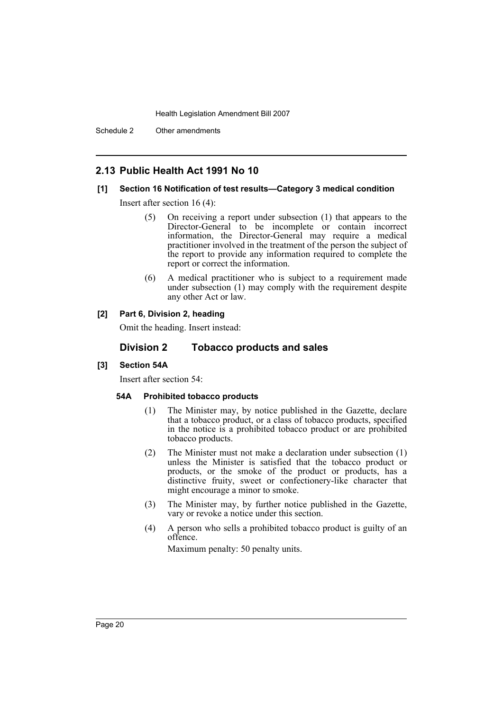Schedule 2 Other amendments

# **2.13 Public Health Act 1991 No 10**

## **[1] Section 16 Notification of test results—Category 3 medical condition**

Insert after section 16 (4):

- (5) On receiving a report under subsection (1) that appears to the Director-General to be incomplete or contain incorrect information, the Director-General may require a medical practitioner involved in the treatment of the person the subject of the report to provide any information required to complete the report or correct the information.
- (6) A medical practitioner who is subject to a requirement made under subsection (1) may comply with the requirement despite any other Act or law.

## **[2] Part 6, Division 2, heading**

Omit the heading. Insert instead:

# **Division 2 Tobacco products and sales**

## **[3] Section 54A**

Insert after section 54:

## **54A Prohibited tobacco products**

- (1) The Minister may, by notice published in the Gazette, declare that a tobacco product, or a class of tobacco products, specified in the notice is a prohibited tobacco product or are prohibited tobacco products.
- (2) The Minister must not make a declaration under subsection (1) unless the Minister is satisfied that the tobacco product or products, or the smoke of the product or products, has a distinctive fruity, sweet or confectionery-like character that might encourage a minor to smoke.
- (3) The Minister may, by further notice published in the Gazette, vary or revoke a notice under this section.
- (4) A person who sells a prohibited tobacco product is guilty of an offence.

Maximum penalty: 50 penalty units.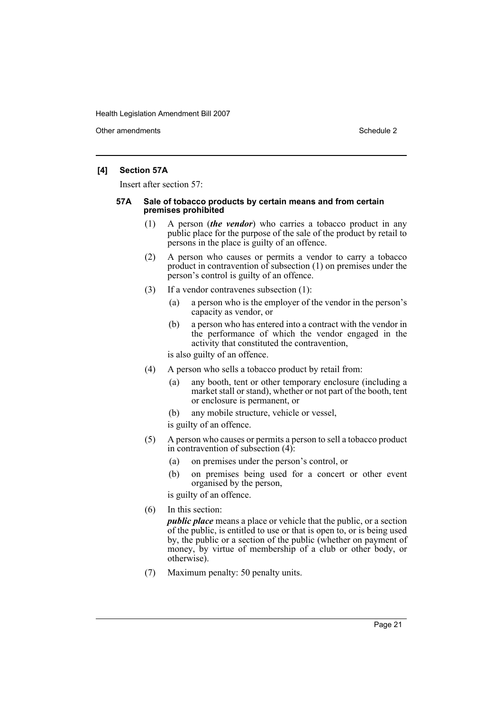Other amendments **Schedule 2** and 2 and 2 and 2 and 2 and 2 and 2 and 2 and 2 and 2 and 2 and 2 and 2 and 2 and 2 and 2 and 2 and 2 and 2 and 2 and 2 and 2 and 2 and 2 and 2 and 2 and 2 and 2 and 2 and 2 and 2 and 2 and 2

## **[4] Section 57A**

Insert after section 57:

#### **57A Sale of tobacco products by certain means and from certain premises prohibited**

- (1) A person (*the vendor*) who carries a tobacco product in any public place for the purpose of the sale of the product by retail to persons in the place is guilty of an offence.
- (2) A person who causes or permits a vendor to carry a tobacco product in contravention of subsection (1) on premises under the person's control is guilty of an offence.
- (3) If a vendor contravenes subsection (1):
	- (a) a person who is the employer of the vendor in the person's capacity as vendor, or
	- (b) a person who has entered into a contract with the vendor in the performance of which the vendor engaged in the activity that constituted the contravention,

is also guilty of an offence.

- (4) A person who sells a tobacco product by retail from:
	- (a) any booth, tent or other temporary enclosure (including a market stall or stand), whether or not part of the booth, tent or enclosure is permanent, or
	- (b) any mobile structure, vehicle or vessel,

is guilty of an offence.

- (5) A person who causes or permits a person to sell a tobacco product in contravention of subsection (4):
	- (a) on premises under the person's control, or
	- (b) on premises being used for a concert or other event organised by the person,

is guilty of an offence.

(6) In this section:

*public place* means a place or vehicle that the public, or a section of the public, is entitled to use or that is open to, or is being used by, the public or a section of the public (whether on payment of money, by virtue of membership of a club or other body, or otherwise).

(7) Maximum penalty: 50 penalty units.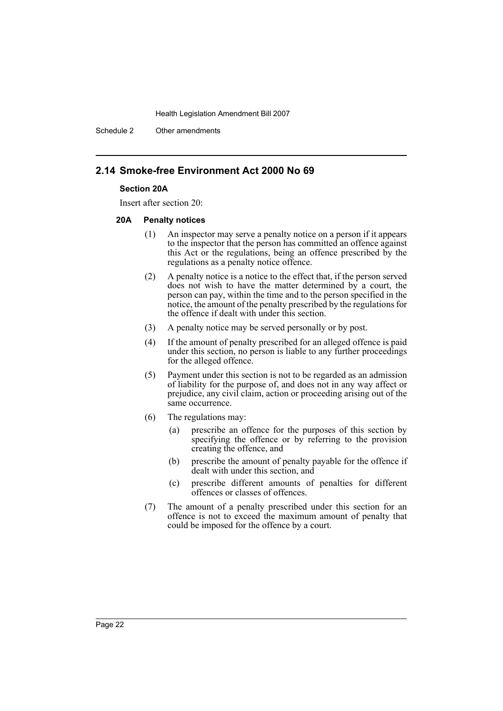Schedule 2 Other amendments

# **2.14 Smoke-free Environment Act 2000 No 69**

#### **Section 20A**

Insert after section 20:

#### **20A Penalty notices**

- (1) An inspector may serve a penalty notice on a person if it appears to the inspector that the person has committed an offence against this Act or the regulations, being an offence prescribed by the regulations as a penalty notice offence.
- (2) A penalty notice is a notice to the effect that, if the person served does not wish to have the matter determined by a court, the person can pay, within the time and to the person specified in the notice, the amount of the penalty prescribed by the regulations for the offence if dealt with under this section.
- (3) A penalty notice may be served personally or by post.
- (4) If the amount of penalty prescribed for an alleged offence is paid under this section, no person is liable to any further proceedings for the alleged offence.
- (5) Payment under this section is not to be regarded as an admission of liability for the purpose of, and does not in any way affect or prejudice, any civil claim, action or proceeding arising out of the same occurrence.
- (6) The regulations may:
	- (a) prescribe an offence for the purposes of this section by specifying the offence or by referring to the provision creating the offence, and
	- (b) prescribe the amount of penalty payable for the offence if dealt with under this section, and
	- (c) prescribe different amounts of penalties for different offences or classes of offences.
- (7) The amount of a penalty prescribed under this section for an offence is not to exceed the maximum amount of penalty that could be imposed for the offence by a court.